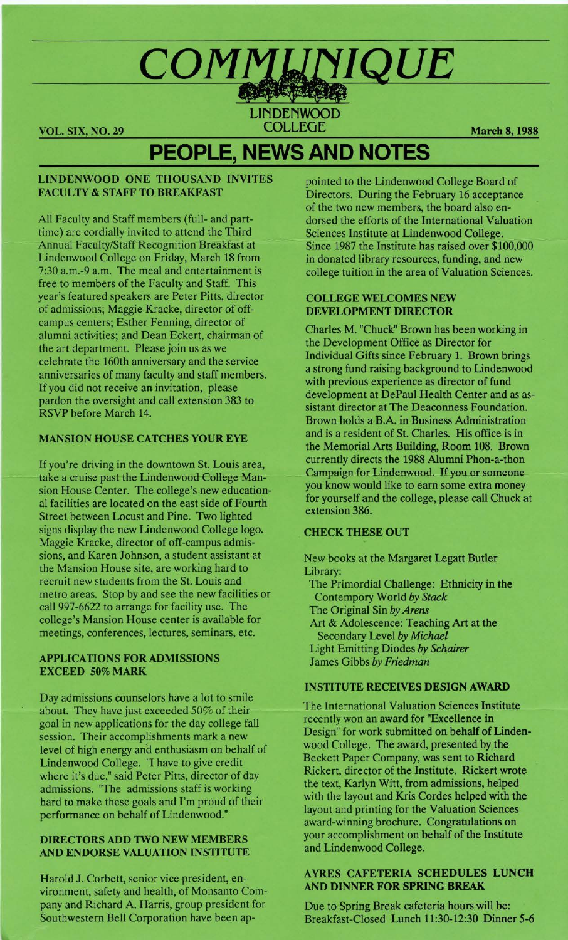#### **VOL. SIX, NO. 29 COLLEGE March 8, 1988**

# **PEOPLE, NEWS AND NOTES**

#### **LINDENWOOD ONE THOUSAND INVITES FACULTY** & **STAFF TO BREAKFAST**

All Faculty and Staff members (full- and parttime) are cordially invited to attend the Third Annual Faculty/Staff Recognition Breakfast at Lindenwood College on Friday, March 18 from 7:30 a.m.-9 a.m. The meal and entertainment is free to members of the Faculty and Staff. This year's featured speakers are Peter Pitts, director of admissions; Maggie Kracke, director of offcampus centers; Esther Fenning, director of alumni activities; and Dean Eckert, chairman of the art department. Please join us as we celebrate the 160th anniversary and the service anniversaries of many faculty and staff members. If you did not receive an invitation, please pardon the oversight and call extension 383 to RSVP before March 14.

#### **MANSION HOUSE CATCHES YOUR EYE**

If you're driving in the downtown St. Louis area, take a cruise past the Lindenwood College Mansion House Center. The college's new educational facilities are located on the east side of Fourth Street between Locust and Pine. Two lighted signs display the new Lindenwood College logo. Maggie Kracke, director of off-campus admissions, and Karen Johnson, a student assistant at the Mansion House site, are working hard to recruit new students from the St. Louis and metro areas. Stop by and see the new facilities or call 997-6622 to arrange for facility use. The college's Mansion House center is available for meetings, conferences, lectures, seminars, etc.

#### **APPLICATIONS FOR ADMISSIONS EXCEED 50% MARK**

Day admissions counselors have a lot to smile about. They have just exceeded 50% of their goal in new applications for the day college fall session. Their accomplishments mark a new level of high energy and enthusiasm on behalf of Lindenwood College. "I have to give credit where it's due," said Peter Pitts, director of day admissions. 'The admissions staff is working hard to make these goals and I'm proud of their performance on behalf of Lindenwood."

#### **DIRECTORS ADD TWO NEW MEMBERS AND ENDORSE VALUATION INSTITUTE**

Harold J. Corbett, senior vice president, environment, safety and health, of Monsanto Company and Richard A. Harris, group president for Southwestern Bell Corporation have been appointed to the Lindenwood College Board of Directors. During the February 16 acceptance of the two new members, the board also endorsed the efforts of the International Valuation Sciences Institute at Lindenwood College. Since 1987 the Institute has raised over \$100,000 in donated library resources, funding, and new college tuition in the area of Valuation Sciences.

#### **COLLEGE WELCOMES NEW DEVELOPMENT DIRECTOR**

Charles M. "Chuck" Brown has been working in the Development Office as Director for Individual Gifts since February 1. Brown brings a strong fund raising background to Lindenwood with previous experience as director of fund development at DePaul Health Center and as assistant director at The Deaconness Foundation. Brown holds a B.A. in Business Administration and is a resident of St. Charles. His office is in the Memorial Arts Building, Room 108. Brown currently directs the 1988 Alumni Phon-a-thon Campaign for Lindenwood. If you or someone you know would like to earn some extra money for yourself and the college, please call Chuck at extension 386.

#### **CHECK THESE OUT**

New books at the Margaret Legatt Butler Library: The Primordial Challenge: Ethnicity in the

Contempory World *by Stack*  The Original Sin *by Arens*  Art & Adolescence: Teaching Art at the Secondary Level *by Michael*  Light Emitting Diodes *by Schairer*  James Gibbs *by Friedman* 

#### **INSTITUTE RECEIVES DESIGN AWARD**

The International Valuation Sciences Institute recently won an award for "Excellence in Design" for work submitted on behalf of Lindenwood College. The award, presented by the Beckett Paper Company, was sent to Richard Rickert, director of the Institute. Rickert wrote the text, Karlyn Witt, from admissions, helped with the layout and Kris Cordes helped with the layout and printing for the Valuation Sciences award-winning brochure. Congratulations on your accomplishment on behalf of the Institute and Lindenwood College.

#### **AYRES CAFETERIA SCHEDULES LUNCH AND DINNER FOR SPRING BREAK**

Due to Spring Break cafeteria hours will be: Breakfast-Closed Lunch 11:30-12:30 Dinner 5-6

# COMMUNIQUE

NDENWOOD<br>COLLEGE